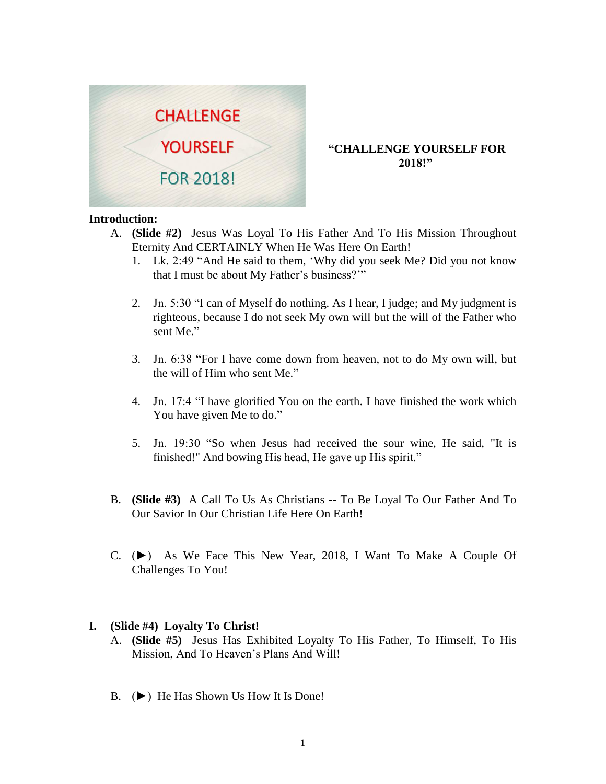

# **"CHALLENGE YOURSELF FOR 2018!"**

### **Introduction:**

- A. **(Slide #2)** Jesus Was Loyal To His Father And To His Mission Throughout Eternity And CERTAINLY When He Was Here On Earth!
	- 1. Lk. 2:49 "And He said to them, 'Why did you seek Me? Did you not know that I must be about My Father's business?'"
	- 2. Jn. 5:30 "I can of Myself do nothing. As I hear, I judge; and My judgment is righteous, because I do not seek My own will but the will of the Father who sent Me."
	- 3. Jn. 6:38 "For I have come down from heaven, not to do My own will, but the will of Him who sent Me."
	- 4. Jn. 17:4 "I have glorified You on the earth. I have finished the work which You have given Me to do."
	- 5. Jn. 19:30 "So when Jesus had received the sour wine, He said, "It is finished!" And bowing His head, He gave up His spirit."
- B. **(Slide #3)** A Call To Us As Christians -- To Be Loyal To Our Father And To Our Savior In Our Christian Life Here On Earth!
- C. (►) As We Face This New Year, 2018, I Want To Make A Couple Of Challenges To You!

## **I. (Slide #4) Loyalty To Christ!**

- A. **(Slide #5)** Jesus Has Exhibited Loyalty To His Father, To Himself, To His Mission, And To Heaven's Plans And Will!
- B. (►) He Has Shown Us How It Is Done!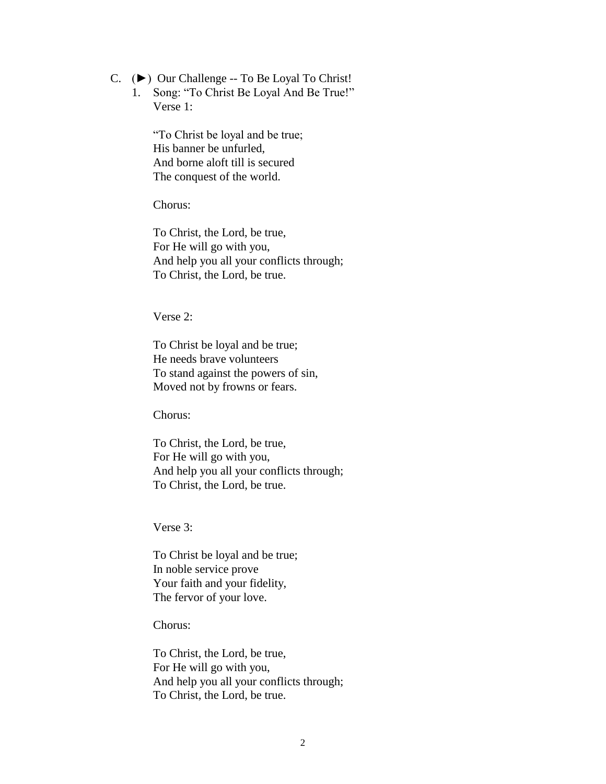- C. (►) Our Challenge -- To Be Loyal To Christ!
	- 1. Song: "To Christ Be Loyal And Be True!" Verse 1:

"To Christ be loyal and be true; His banner be unfurled, And borne aloft till is secured The conquest of the world.

Chorus:

To Christ, the Lord, be true, For He will go with you, And help you all your conflicts through; To Christ, the Lord, be true.

Verse 2:

To Christ be loyal and be true; He needs brave volunteers To stand against the powers of sin, Moved not by frowns or fears.

Chorus:

To Christ, the Lord, be true, For He will go with you, And help you all your conflicts through; To Christ, the Lord, be true.

Verse 3:

To Christ be loyal and be true; In noble service prove Your faith and your fidelity, The fervor of your love.

Chorus:

To Christ, the Lord, be true, For He will go with you, And help you all your conflicts through; To Christ, the Lord, be true.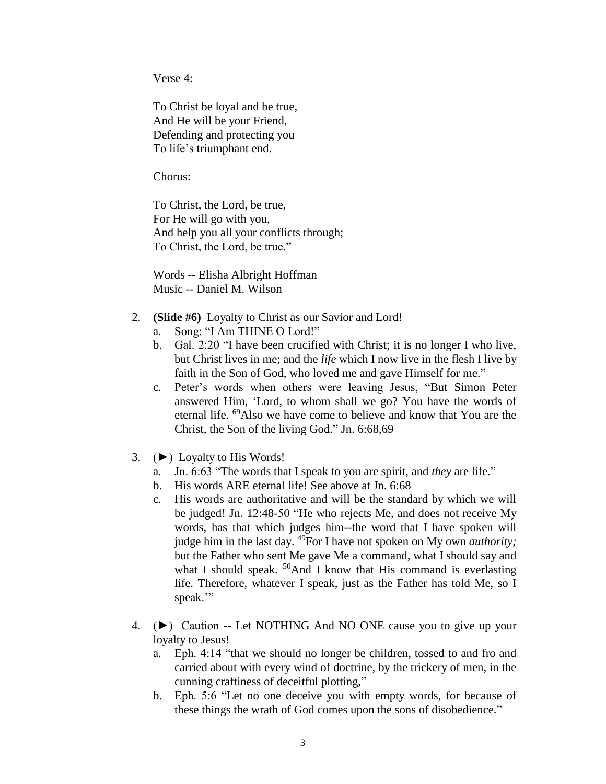Verse 4:

To Christ be loyal and be true, And He will be your Friend, Defending and protecting you To life's triumphant end.

Chorus:

To Christ, the Lord, be true, For He will go with you, And help you all your conflicts through; To Christ, the Lord, be true."

Words -- Elisha Albright Hoffman Music -- Daniel M. Wilson

- 2. **(Slide #6)** Loyalty to Christ as our Savior and Lord!
	- a. Song: "I Am THINE O Lord!"
	- b. Gal. 2:20 "I have been crucified with Christ; it is no longer I who live, but Christ lives in me; and the *life* which I now live in the flesh I live by faith in the Son of God, who loved me and gave Himself for me."
	- c. Peter's words when others were leaving Jesus, "But Simon Peter answered Him, 'Lord, to whom shall we go? You have the words of eternal life. <sup>69</sup>Also we have come to believe and know that You are the Christ, the Son of the living God." Jn. 6:68,69
- 3. (►) Loyalty to His Words!
	- a. Jn. 6:63 "The words that I speak to you are spirit, and *they* are life."
	- b. His words ARE eternal life! See above at Jn. 6:68
	- c. His words are authoritative and will be the standard by which we will be judged! Jn. 12:48-50 "He who rejects Me, and does not receive My words, has that which judges him--the word that I have spoken will judge him in the last day. <sup>49</sup>For I have not spoken on My own *authority;* but the Father who sent Me gave Me a command, what I should say and what I should speak.  $50$ And I know that His command is everlasting life. Therefore, whatever I speak, just as the Father has told Me, so I speak."
- 4. (►) Caution -- Let NOTHING And NO ONE cause you to give up your loyalty to Jesus!
	- a. Eph. 4:14 "that we should no longer be children, tossed to and fro and carried about with every wind of doctrine, by the trickery of men, in the cunning craftiness of deceitful plotting,"
	- b. Eph. 5:6 "Let no one deceive you with empty words, for because of these things the wrath of God comes upon the sons of disobedience."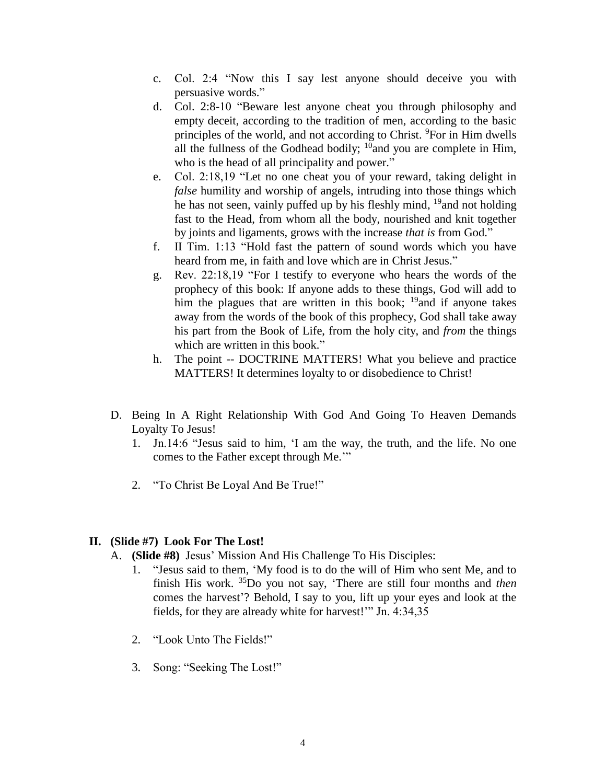- c. Col. 2:4 "Now this I say lest anyone should deceive you with persuasive words."
- d. Col. 2:8-10 "Beware lest anyone cheat you through philosophy and empty deceit, according to the tradition of men, according to the basic principles of the world, and not according to Christ. <sup>9</sup>For in Him dwells all the fullness of the Godhead bodily;  $^{10}$ and you are complete in Him, who is the head of all principality and power."
- e. Col. 2:18,19 "Let no one cheat you of your reward, taking delight in *false* humility and worship of angels, intruding into those things which he has not seen, vainly puffed up by his fleshly mind, <sup>19</sup>and not holding fast to the Head, from whom all the body, nourished and knit together by joints and ligaments, grows with the increase *that is* from God."
- f. II Tim. 1:13 "Hold fast the pattern of sound words which you have heard from me, in faith and love which are in Christ Jesus."
- g. Rev. 22:18,19 "For I testify to everyone who hears the words of the prophecy of this book: If anyone adds to these things, God will add to him the plagues that are written in this book;  $^{19}$  and if anyone takes away from the words of the book of this prophecy, God shall take away his part from the Book of Life, from the holy city, and *from* the things which are written in this book."
- h. The point -- DOCTRINE MATTERS! What you believe and practice MATTERS! It determines loyalty to or disobedience to Christ!
- D. Being In A Right Relationship With God And Going To Heaven Demands Loyalty To Jesus!
	- 1. Jn.14:6 "Jesus said to him, 'I am the way, the truth, and the life. No one comes to the Father except through Me.'"
	- 2. "To Christ Be Loyal And Be True!"

# **II. (Slide #7) Look For The Lost!**

- A. **(Slide #8)** Jesus' Mission And His Challenge To His Disciples:
	- 1. "Jesus said to them, 'My food is to do the will of Him who sent Me, and to finish His work. <sup>35</sup>Do you not say, 'There are still four months and *then* comes the harvest'? Behold, I say to you, lift up your eyes and look at the fields, for they are already white for harvest!'" Jn. 4:34,35
	- 2. "Look Unto The Fields!"
	- 3. Song: "Seeking The Lost!"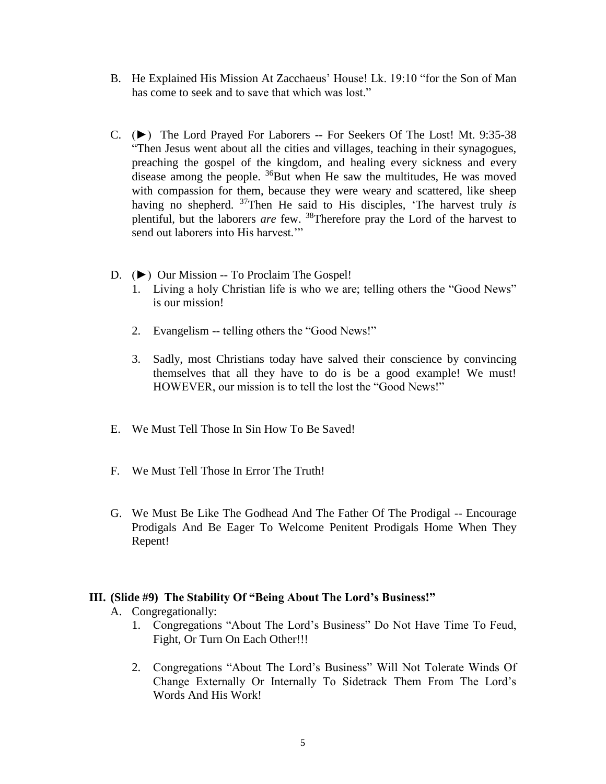- B. He Explained His Mission At Zacchaeus' House! Lk. 19:10 "for the Son of Man has come to seek and to save that which was lost."
- C. (►) The Lord Prayed For Laborers -- For Seekers Of The Lost! Mt. 9:35-38 "Then Jesus went about all the cities and villages, teaching in their synagogues, preaching the gospel of the kingdom, and healing every sickness and every disease among the people.  ${}^{36}$ But when He saw the multitudes, He was moved with compassion for them, because they were weary and scattered, like sheep having no shepherd. <sup>37</sup>Then He said to His disciples, 'The harvest truly *is* plentiful, but the laborers *are* few. <sup>38</sup>Therefore pray the Lord of the harvest to send out laborers into His harvest."
- D. (►) Our Mission -- To Proclaim The Gospel!
	- 1. Living a holy Christian life is who we are; telling others the "Good News" is our mission!
	- 2. Evangelism -- telling others the "Good News!"
	- 3. Sadly, most Christians today have salved their conscience by convincing themselves that all they have to do is be a good example! We must! HOWEVER, our mission is to tell the lost the "Good News!"
- E. We Must Tell Those In Sin How To Be Saved!
- F. We Must Tell Those In Error The Truth!
- G. We Must Be Like The Godhead And The Father Of The Prodigal -- Encourage Prodigals And Be Eager To Welcome Penitent Prodigals Home When They Repent!

## **III. (Slide #9) The Stability Of "Being About The Lord's Business!"**

- A. Congregationally:
	- 1. Congregations "About The Lord's Business" Do Not Have Time To Feud, Fight, Or Turn On Each Other!!!
	- 2. Congregations "About The Lord's Business" Will Not Tolerate Winds Of Change Externally Or Internally To Sidetrack Them From The Lord's Words And His Work!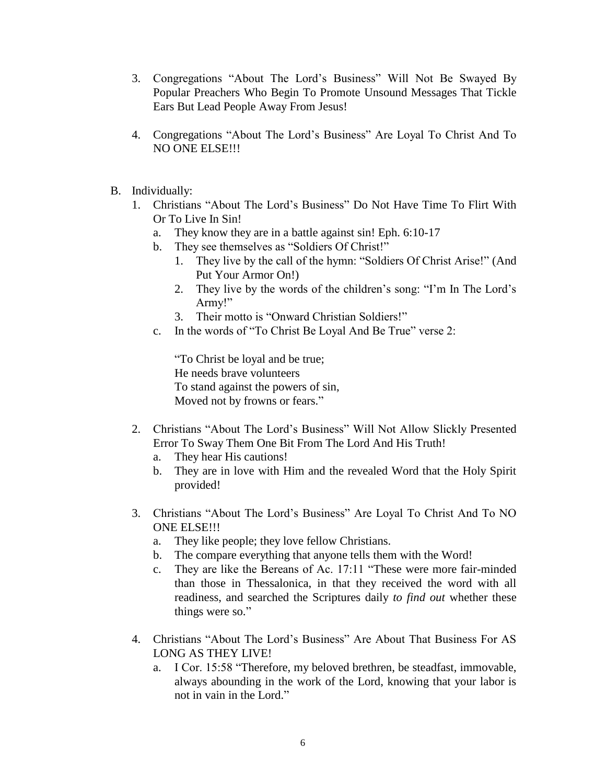- 3. Congregations "About The Lord's Business" Will Not Be Swayed By Popular Preachers Who Begin To Promote Unsound Messages That Tickle Ears But Lead People Away From Jesus!
- 4. Congregations "About The Lord's Business" Are Loyal To Christ And To NO ONE ELSE!!!
- B. Individually:
	- 1. Christians "About The Lord's Business" Do Not Have Time To Flirt With Or To Live In Sin!
		- a. They know they are in a battle against sin! Eph. 6:10-17
		- b. They see themselves as "Soldiers Of Christ!"
			- 1. They live by the call of the hymn: "Soldiers Of Christ Arise!" (And Put Your Armor On!)
			- 2. They live by the words of the children's song: "I'm In The Lord's Army!"
			- 3. Their motto is "Onward Christian Soldiers!"
		- c. In the words of "To Christ Be Loyal And Be True" verse 2:

"To Christ be loyal and be true; He needs brave volunteers To stand against the powers of sin, Moved not by frowns or fears."

- 2. Christians "About The Lord's Business" Will Not Allow Slickly Presented Error To Sway Them One Bit From The Lord And His Truth!
	- a. They hear His cautions!
	- b. They are in love with Him and the revealed Word that the Holy Spirit provided!
- 3. Christians "About The Lord's Business" Are Loyal To Christ And To NO ONE ELSE!!!
	- a. They like people; they love fellow Christians.
	- b. The compare everything that anyone tells them with the Word!
	- c. They are like the Bereans of Ac. 17:11 "These were more fair-minded than those in Thessalonica, in that they received the word with all readiness, and searched the Scriptures daily *to find out* whether these things were so."
- 4. Christians "About The Lord's Business" Are About That Business For AS LONG AS THEY LIVE!
	- a. I Cor. 15:58 "Therefore, my beloved brethren, be steadfast, immovable, always abounding in the work of the Lord, knowing that your labor is not in vain in the Lord."